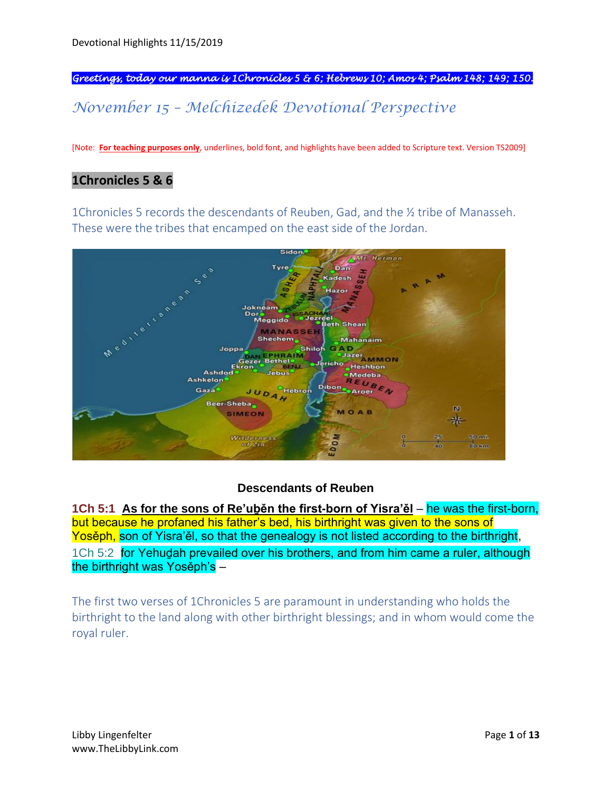*Greetings, today our manna is 1Chronicles 5 & 6; Hebrews 10; Amos 4; Psalm 148; 149; 150.* 

# *November 15 – Melchizedek Devotional Perspective*

[Note: **For teaching purposes only**, underlines, bold font, and highlights have been added to Scripture text. Version TS2009]

### **1Chronicles 5 & 6**

1Chronicles 5 records the descendants of Reuben, Gad, and the ½ tribe of Manasseh. These were the tribes that encamped on the east side of the Jordan.



#### **Descendants of Reuben**

**1Ch 5:1 As for the sons of Re'uḇěn the first-born of Yisra'ěl** – he was the first-born, but because he profaned his father's bed, his birthright was given to the sons of Yosěph, son of Yisra'ěl, so that the genealogy is not listed according to the birthright, 1Ch 5:2 for Yehudah prevailed over his brothers, and from him came a ruler, although the birthright was Yosěph's –

The first two verses of 1Chronicles 5 are paramount in understanding who holds the birthright to the land along with other birthright blessings; and in whom would come the royal ruler.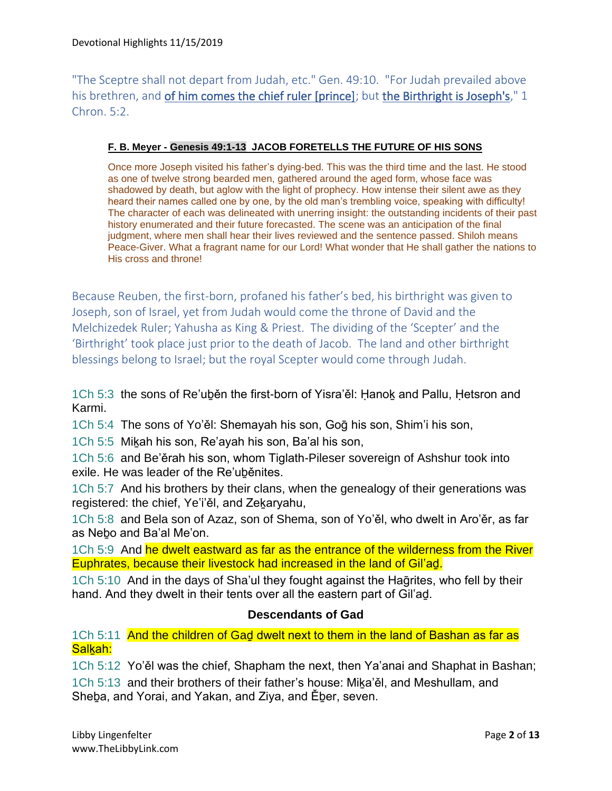"The Sceptre shall not depart from Judah, etc." Gen. 49:10. "For Judah prevailed above his brethren, and of him comes the chief ruler [prince]; but the Birthright is Joseph's," 1 Chron. 5:2.

#### **F. B. Meyer - Genesis 49:1-13 JACOB FORETELLS THE FUTURE OF HIS SONS**

Once more Joseph visited his father's dying-bed. This was the third time and the last. He stood as one of twelve strong bearded men, gathered around the aged form, whose face was shadowed by death, but aglow with the light of prophecy. How intense their silent awe as they heard their names called one by one, by the old man's trembling voice, speaking with difficulty! The character of each was delineated with unerring insight: the outstanding incidents of their past history enumerated and their future forecasted. The scene was an anticipation of the final judgment, where men shall hear their lives reviewed and the sentence passed. Shiloh means Peace-Giver. What a fragrant name for our Lord! What wonder that He shall gather the nations to His cross and throne!

Because Reuben, the first-born, profaned his father's bed, his birthright was given to Joseph, son of Israel, yet from Judah would come the throne of David and the Melchizedek Ruler; Yahusha as King & Priest. The dividing of the 'Scepter' and the 'Birthright' took place just prior to the death of Jacob. The land and other birthright blessings belong to Israel; but the royal Scepter would come through Judah.

1Ch 5:3 the sons of Re'uḇěn the first-born of Yisra'ěl: Ḥanoḵ and Pallu, Ḥetsron and Karmi.

1Ch 5:4 The sons of Yo'ěl: Shemayah his son, Goḡ his son, Shim'i his son,

1Ch 5:5 Miḵah his son, Re'ayah his son, Ba'al his son,

1Ch 5:6 and Be'ěrah his son, whom Tiglath-Pileser sovereign of Ashshur took into exile. He was leader of the Re'uḇěnites.

1Ch 5:7 And his brothers by their clans, when the genealogy of their generations was registered: the chief, Ye'i'ěl, and Zeḵaryahu,

1Ch 5:8 and Bela son of Azaz, son of Shema, son of Yo'ěl, who dwelt in Aro'ěr, as far as Neḇo and Ba'al Me'on.

1Ch 5:9 And he dwelt eastward as far as the entrance of the wilderness from the River Euphrates, because their livestock had increased in the land of Gil'aḏ.

1Ch 5:10 And in the days of Sha'ul they fought against the Haḡrites, who fell by their hand. And they dwelt in their tents over all the eastern part of Gil'ad.

#### **Descendants of Gad**

1Ch 5:11 And the children of Gad dwelt next to them in the land of Bashan as far as Salkah:

1Ch 5:12 Yo'ěl was the chief, Shapham the next, then Ya'anai and Shaphat in Bashan;

1Ch 5:13 and their brothers of their father's house: Miḵa'ěl, and Meshullam, and Sheḇa, and Yorai, and Yakan, and Ziya, and Ěḇer, seven.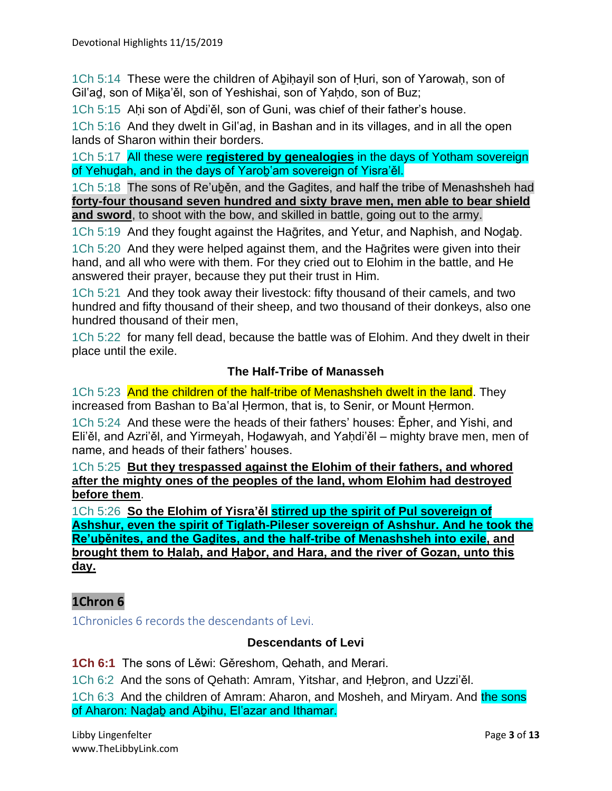1Ch 5:14 These were the children of Abihayil son of Huri, son of Yarowah, son of Gil'ad, son of Mika'ěl, son of Yeshishai, son of Yahdo, son of Buz;

1Ch 5:15 Aḥi son of Aḇdi'ěl, son of Guni, was chief of their father's house.

1Ch 5:16 And they dwelt in Gil'aḏ, in Bashan and in its villages, and in all the open lands of Sharon within their borders.

1Ch 5:17 All these were **registered by genealogies** in the days of Yotham sovereign of Yehuḏah, and in the days of Yaroḇ'am sovereign of Yisra'ěl.

1Ch 5:18 The sons of Re'uḇěn, and the Gaḏites, and half the tribe of Menashsheh had **forty-four thousand seven hundred and sixty brave men, men able to bear shield and sword**, to shoot with the bow, and skilled in battle, going out to the army.

1Ch 5:19 And they fought against the Haḡrites, and Yetur, and Naphish, and Noḏaḇ.

1Ch 5:20 And they were helped against them, and the Haqrites were given into their hand, and all who were with them. For they cried out to Elohim in the battle, and He answered their prayer, because they put their trust in Him.

1Ch 5:21 And they took away their livestock: fifty thousand of their camels, and two hundred and fifty thousand of their sheep, and two thousand of their donkeys, also one hundred thousand of their men,

1Ch 5:22 for many fell dead, because the battle was of Elohim. And they dwelt in their place until the exile.

#### **The Half-Tribe of Manasseh**

1Ch 5:23 And the children of the half-tribe of Menashsheh dwelt in the land. They increased from Bashan to Ba'al Ḥermon, that is, to Senir, or Mount Ḥermon.

1Ch 5:24 And these were the heads of their fathers' houses: Ěpher, and Yishi, and Eli'ěl, and Azri'ěl, and Yirmeyah, Hodawyah, and Yahdi'ěl – mighty brave men, men of name, and heads of their fathers' houses.

1Ch 5:25 **But they trespassed against the Elohim of their fathers, and whored after the mighty ones of the peoples of the land, whom Elohim had destroyed before them**.

1Ch 5:26 **So the Elohim of Yisra'ěl stirred up the spirit of Pul sovereign of Ashshur, even the spirit of Tiglath-Pileser sovereign of Ashshur. And he took the Re'uḇěnites, and the Gaḏites, and the half-tribe of Menashsheh into exile, and brought them to Ḥalaḥ, and Ḥaḇor, and Hara, and the river of Gozan, unto this day.**

# **1Chron 6**

1Chronicles 6 records the descendants of Levi.

#### **Descendants of Levi**

**1Ch 6:1** The sons of Lěwi: Gěreshom, Qehath, and Merari.

1Ch 6:2 And the sons of Qehath: Amram, Yitshar, and Ḥeḇron, and Uzzi'ěl.

1Ch 6:3 And the children of Amram: Aharon, and Mosheh, and Miryam. And the sons of Aharon: Naḏaḇ and Aḇihu, El'azar and Ithamar.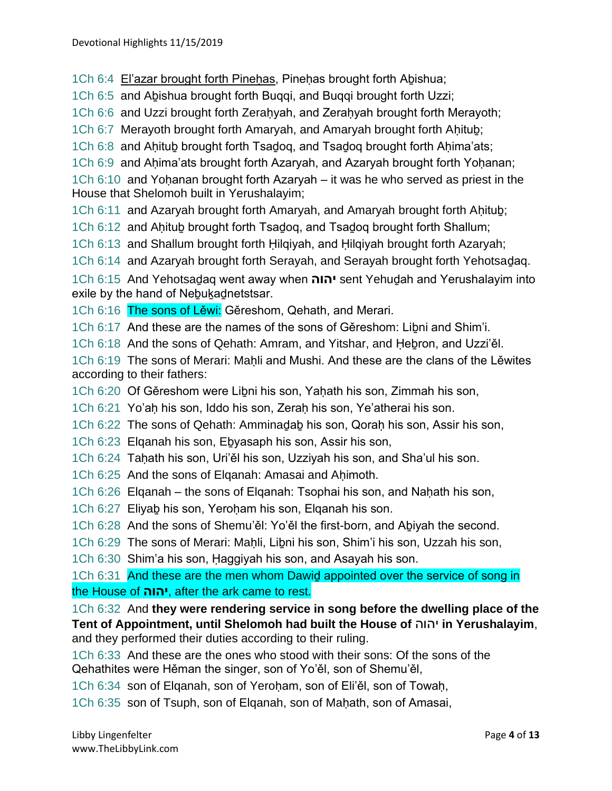1Ch 6:4 El'azar brought forth Pinehas, Pinehas brought forth Abishua;

1Ch 6:5 and Aḇishua brought forth Buqqi, and Buqqi brought forth Uzzi;

1Ch 6:6 and Uzzi brought forth Zerahyah, and Zerahyah brought forth Merayoth;

1Ch 6:7 Merayoth brought forth Amaryah, and Amaryah brought forth Aḥituḇ;

1Ch 6:8 and Aḥituḇ brought forth Tsaḏoq, and Tsaḏoq brought forth Aḥima'ats;

1Ch 6:9 and Ahima'ats brought forth Azaryah, and Azaryah brought forth Yohanan;

1Ch 6:10 and Yohanan brought forth Azaryah – it was he who served as priest in the House that Shelomoh built in Yerushalayim;

1Ch 6:11 and Azaryah brought forth Amaryah, and Amaryah brought forth Aḥituḇ;

1Ch 6:12 and Aḥituḇ brought forth Tsaḏoq, and Tsaḏoq brought forth Shallum;

1Ch 6:13 and Shallum brought forth Ḥilqiyah, and Ḥilqiyah brought forth Azaryah;

1Ch 6:14 and Azaryah brought forth Serayah, and Serayah brought forth Yehotsaḏaq.

1Ch 6:15 And Yehotsaḏaq went away when **יהוה** sent Yehuḏah and Yerushalayim into exile by the hand of Nebukadnetstsar.

1Ch 6:16 The sons of Lěwi: Gěreshom, Qehath, and Merari.

1Ch 6:17 And these are the names of the sons of Gěreshom: Liḇni and Shim'i.

1Ch 6:18 And the sons of Qehath: Amram, and Yitshar, and Ḥeḇron, and Uzzi'ěl.

1Ch 6:19 The sons of Merari: Mahli and Mushi. And these are the clans of the Lěwites according to their fathers:

1Ch 6:20 Of Gěreshom were Liḇni his son, Yaḥath his son, Zimmah his son,

1Ch 6:21 Yo'aḥ his son, Iddo his son, Zeraḥ his son, Ye'atherai his son.

1Ch 6:22 The sons of Qehath: Amminaḏaḇ his son, Qoraḥ his son, Assir his son,

1Ch 6:23 Elqanah his son, Eḇyasaph his son, Assir his son,

1Ch 6:24 Tahath his son, Uri'ěl his son, Uzziyah his son, and Sha'ul his son.

- 1Ch 6:25 And the sons of Elganah: Amasai and Ahimoth.
- 1Ch 6:26 Elganah the sons of Elganah: Tsophai his son, and Nahath his son,
- 1Ch 6:27 Eliyaḇ his son, Yeroḥam his son, Elqanah his son.
- 1Ch 6:28 And the sons of Shemu'ěl: Yo'ěl the first-born, and Aḇiyah the second.
- 1Ch 6:29 The sons of Merari: Maḥli, Liḇni his son, Shim'i his son, Uzzah his son,

1Ch 6:30 Shim'a his son, Ḥaggiyah his son, and Asayah his son.

1Ch 6:31 And these are the men whom Dawid appointed over the service of song in the House of **יהוה**, after the ark came to rest.

1Ch 6:32 And **they were rendering service in song before the dwelling place of the Tent of Appointment, until Shelomoh had built the House of** יהוה **in Yerushalayim**, and they performed their duties according to their ruling.

1Ch 6:33 And these are the ones who stood with their sons: Of the sons of the Qehathites were Hěman the singer, son of Yo'ěl, son of Shemu'ěl,

1Ch 6:34 son of Elqanah, son of Yeroḥam, son of Eli'ěl, son of Towaḥ,

1Ch 6:35 son of Tsuph, son of Elqanah, son of Maḥath, son of Amasai,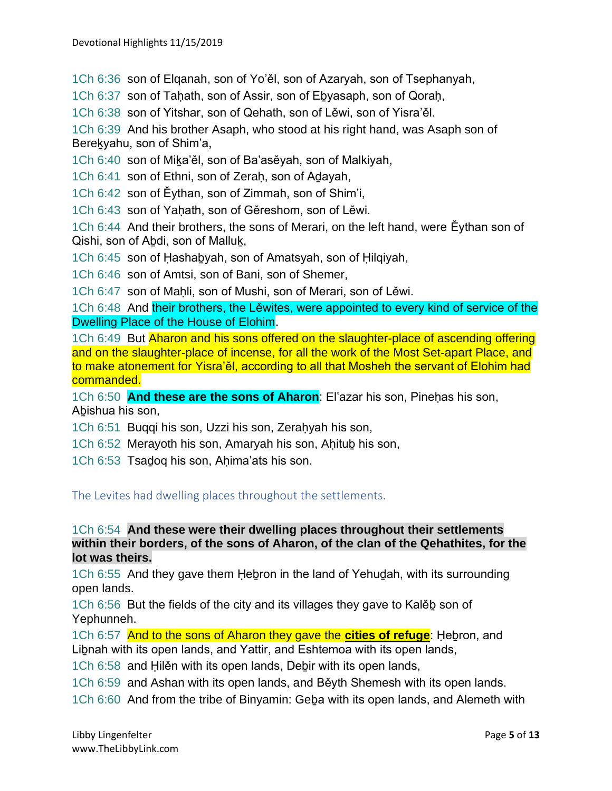1Ch 6:36 son of Elqanah, son of Yo'ěl, son of Azaryah, son of Tsephanyah,

1Ch 6:37 son of Tahath, son of Assir, son of Ebyasaph, son of Qorah,

1Ch 6:38 son of Yitshar, son of Qehath, son of Lěwi, son of Yisra'ěl.

1Ch 6:39 And his brother Asaph, who stood at his right hand, was Asaph son of Bereḵyahu, son of Shim'a,

1Ch 6:40 son of Miḵa'ěl, son of Ba'asěyah, son of Malkiyah,

1Ch 6:41 son of Ethni, son of Zerah, son of Adayah,

1Ch 6:42 son of Ěythan, son of Zimmah, son of Shim'i,

1Ch 6:43 son of Yahath, son of Gěreshom, son of Lěwi.

1Ch 6:44 And their brothers, the sons of Merari, on the left hand, were Ěythan son of Qishi, son of Aḇdi, son of Malluḵ,

1Ch 6:45 son of Ḥashaḇyah, son of Amatsyah, son of Ḥilqiyah,

1Ch 6:46 son of Amtsi, son of Bani, son of Shemer,

1Ch 6:47 son of Maḥli, son of Mushi, son of Merari, son of Lěwi.

1Ch 6:48 And their brothers, the Lěwites, were appointed to every kind of service of the Dwelling Place of the House of Elohim.

1Ch 6:49 But Aharon and his sons offered on the slaughter-place of ascending offering and on the slaughter-place of incense, for all the work of the Most Set-apart Place, and to make atonement for Yisra'ěl, according to all that Mosheh the servant of Elohim had commanded.

1Ch 6:50 **And these are the sons of Aharon**: El'azar his son, Pinehas his son, Aḇishua his son,

- 1Ch 6:51 Buqqi his son, Uzzi his son, Zeraḥyah his son,
- 1Ch 6:52 Merayoth his son, Amaryah his son, Aḥituḇ his son,
- 1Ch 6:53 Tsadoq his son, Ahima'ats his son.

The Levites had dwelling places throughout the settlements.

#### 1Ch 6:54 **And these were their dwelling places throughout their settlements within their borders, of the sons of Aharon, of the clan of the Qehathites, for the lot was theirs.**

1Ch 6:55 And they gave them Ḥeḇron in the land of Yehuḏah, with its surrounding open lands.

1Ch 6:56 But the fields of the city and its villages they gave to Kalěḇ son of Yephunneh.

1Ch 6:57 And to the sons of Aharon they gave the **cities of refuge**: Ḥeḇron, and Libnah with its open lands, and Yattir, and Eshtemoa with its open lands,

1Ch 6:58 and Ḥilěn with its open lands, Deḇir with its open lands,

1Ch 6:59 and Ashan with its open lands, and Běyth Shemesh with its open lands.

1Ch 6:60 And from the tribe of Binyamin: Geḇa with its open lands, and Alemeth with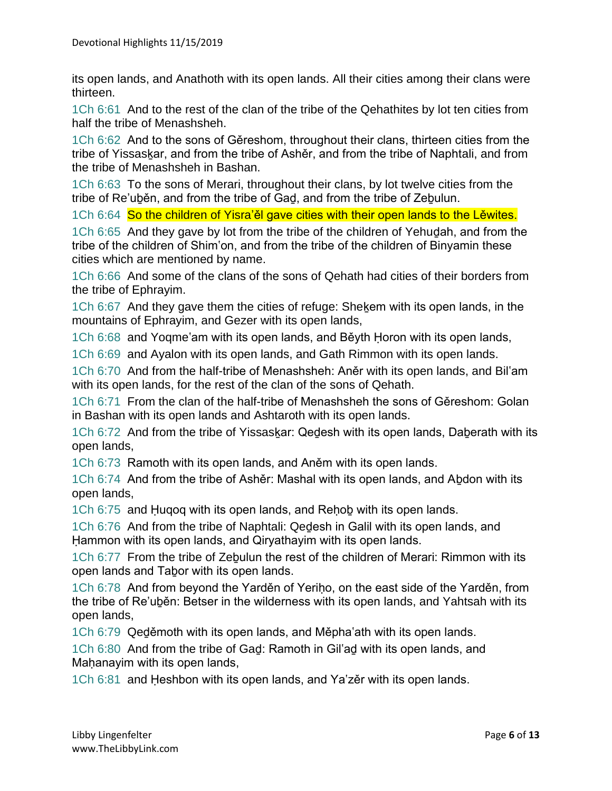its open lands, and Anathoth with its open lands. All their cities among their clans were thirteen.

1Ch 6:61 And to the rest of the clan of the tribe of the Qehathites by lot ten cities from half the tribe of Menashsheh.

1Ch 6:62 And to the sons of Gěreshom, throughout their clans, thirteen cities from the tribe of Yissaskar, and from the tribe of Ashěr, and from the tribe of Naphtali, and from the tribe of Menashsheh in Bashan.

1Ch 6:63 To the sons of Merari, throughout their clans, by lot twelve cities from the tribe of Re'uběn, and from the tribe of Gad, and from the tribe of Zebulun.

1Ch 6:64 So the children of Yisra'ěl gave cities with their open lands to the Lewites.

1Ch 6:65 And they gave by lot from the tribe of the children of Yehuḏah, and from the tribe of the children of Shim'on, and from the tribe of the children of Binyamin these cities which are mentioned by name.

1Ch 6:66 And some of the clans of the sons of Qehath had cities of their borders from the tribe of Ephrayim.

1Ch 6:67 And they gave them the cities of refuge: Sheḵem with its open lands, in the mountains of Ephrayim, and Gezer with its open lands,

1Ch 6:68 and Yoqme'am with its open lands, and Běyth Ḥoron with its open lands,

1Ch 6:69 and Ayalon with its open lands, and Gath Rimmon with its open lands.

1Ch 6:70 And from the half-tribe of Menashsheh: Aněr with its open lands, and Bil'am with its open lands, for the rest of the clan of the sons of Qehath.

1Ch 6:71 From the clan of the half-tribe of Menashsheh the sons of Gěreshom: Golan in Bashan with its open lands and Ashtaroth with its open lands.

1Ch 6:72 And from the tribe of Yissaskar: Qedesh with its open lands, Daberath with its open lands,

1Ch 6:73 Ramoth with its open lands, and Aněm with its open lands.

1Ch 6:74 And from the tribe of Ashěr: Mashal with its open lands, and Aḇdon with its open lands,

1Ch 6:75 and Ḥuqoq with its open lands, and Reḥoḇ with its open lands.

1Ch 6:76 And from the tribe of Naphtali: Qeḏesh in Galil with its open lands, and Ḥammon with its open lands, and Qiryathayim with its open lands.

1Ch 6:77 From the tribe of Zeḇulun the rest of the children of Merari: Rimmon with its open lands and Taḇor with its open lands.

1Ch 6:78 And from beyond the Yarděn of Yeriḥo, on the east side of the Yarděn, from the tribe of Re'uḇěn: Betser in the wilderness with its open lands, and Yahtsah with its open lands,

1Ch 6:79 Qeḏěmoth with its open lands, and Měpha'ath with its open lands.

1Ch 6:80 And from the tribe of Gaḏ: Ramoth in Gil'aḏ with its open lands, and Mahanayim with its open lands,

1Ch 6:81 and Ḥeshbon with its open lands, and Ya'zěr with its open lands.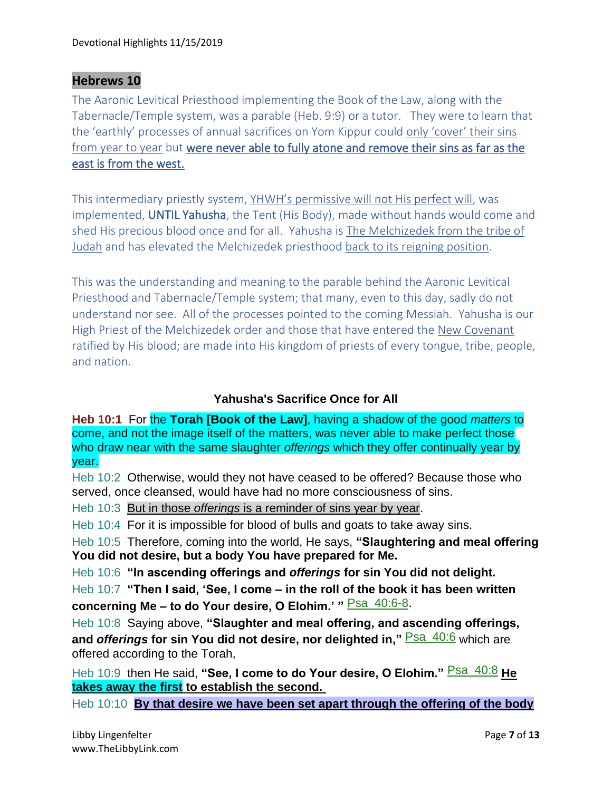# **Hebrews 10**

The Aaronic Levitical Priesthood implementing the Book of the Law, along with the Tabernacle/Temple system, was a parable (Heb. 9:9) or a tutor. They were to learn that the 'earthly' processes of annual sacrifices on Yom Kippur could only 'cover' their sins from year to year but were never able to fully atone and remove their sins as far as the east is from the west.

This intermediary priestly system, YHWH's permissive will not His perfect will, was implemented, UNTIL Yahusha, the Tent (His Body), made without hands would come and shed His precious blood once and for all. Yahusha is The Melchizedek from the tribe of Judah and has elevated the Melchizedek priesthood back to its reigning position.

This was the understanding and meaning to the parable behind the Aaronic Levitical Priesthood and Tabernacle/Temple system; that many, even to this day, sadly do not understand nor see. All of the processes pointed to the coming Messiah. Yahusha is our High Priest of the Melchizedek order and those that have entered the New Covenant ratified by His blood; are made into His kingdom of priests of every tongue, tribe, people, and nation.

# **Yahusha's Sacrifice Once for All**

**Heb 10:1** For the **Torah [Book of the Law]**, having a shadow of the good *matters* to come, and not the image itself of the matters, was never able to make perfect those who draw near with the same slaughter *offerings* which they offer continually year by year.

Heb 10:2 Otherwise, would they not have ceased to be offered? Because those who served, once cleansed, would have had no more consciousness of sins.

Heb 10:3 But in those *offerings* is a reminder of sins year by year.

Heb 10:4 For it is impossible for blood of bulls and goats to take away sins.

Heb 10:5 Therefore, coming into the world, He says, **"Slaughtering and meal offering You did not desire, but a body You have prepared for Me.**

Heb 10:6 **"In ascending offerings and** *offerings* **for sin You did not delight.**

Heb 10:7 **"Then I said, 'See, I come – in the roll of the book it has been written concerning Me – to do Your desire, O Elohim.' "** Psa\_40:6-8.

Heb 10:8 Saying above, **"Slaughter and meal offering, and ascending offerings,**  and *offerings* for sin You did not desire, nor delighted in," **Psa 40:6** which are offered according to the Torah,

Heb 10:9 then He said, "See, I come to do Your desire, O Elohim." **Psa\_40:8** He **takes away the first to establish the second.**

Heb 10:10 **By that desire we have been set apart through the offering of the body**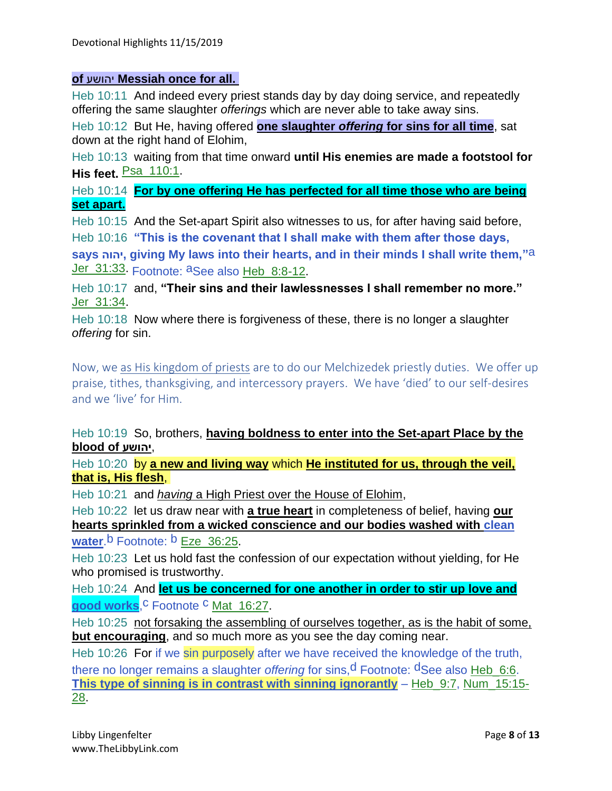#### **of** יהושע **Messiah once for all.**

Heb 10:11 And indeed every priest stands day by day doing service, and repeatedly offering the same slaughter *offerings* which are never able to take away sins.

Heb 10:12 But He, having offered **one slaughter** *offering* **for sins for all time**, sat down at the right hand of Elohim,

Heb 10:13 waiting from that time onward **until His enemies are made a footstool for His feet. Psa 110:1.** 

Heb 10:14 **For by one offering He has perfected for all time those who are being set apart.**

Heb 10:15 And the Set-apart Spirit also witnesses to us, for after having said before,

Heb 10:16 **"This is the covenant that I shall make with them after those days,** 

**says יהוה, giving My laws into their hearts, and in their minds I shall write them,"**a Jer\_31:33. Footnote: aSee also Heb\_8:8-12.

Heb 10:17 and, **"Their sins and their lawlessnesses I shall remember no more."** Jer\_31:34.

Heb 10:18 Now where there is forgiveness of these, there is no longer a slaughter *offering* for sin.

Now, we as His kingdom of priests are to do our Melchizedek priestly duties. We offer up praise, tithes, thanksgiving, and intercessory prayers. We have 'died' to our self-desires and we 'live' for Him.

Heb 10:19 So, brothers, **having boldness to enter into the Set-apart Place by the blood of יהושע**,

Heb 10:20 by **a new and living way** which **He instituted for us, through the veil, that is, His flesh**,

Heb 10:21 and *having* a High Priest over the House of Elohim,

Heb 10:22 let us draw near with **a true heart** in completeness of belief, having **our hearts sprinkled from a wicked conscience and our bodies washed with clean** 

**water.**b Footnote: **b** Eze 36:25.

Heb 10:23 Let us hold fast the confession of our expectation without yielding, for He who promised is trustworthy.

Heb 10:24 And **let us be concerned for one another in order to stir up love and**  good works<sup>C</sup> Footnote <sup>C</sup> Mat 16:27.

Heb 10:25 not forsaking the assembling of ourselves together, as is the habit of some, **but encouraging**, and so much more as you see the day coming near.

Heb 10:26 For if we sin purposely after we have received the knowledge of the truth, there no longer remains a slaughter *offering* for sins,<sup>d</sup> Footnote: <sup>d</sup>See also Heb\_6:6. **This type of sinning is in contrast with sinning ignorantly** – Heb\_9:7, Num\_15:15- 28.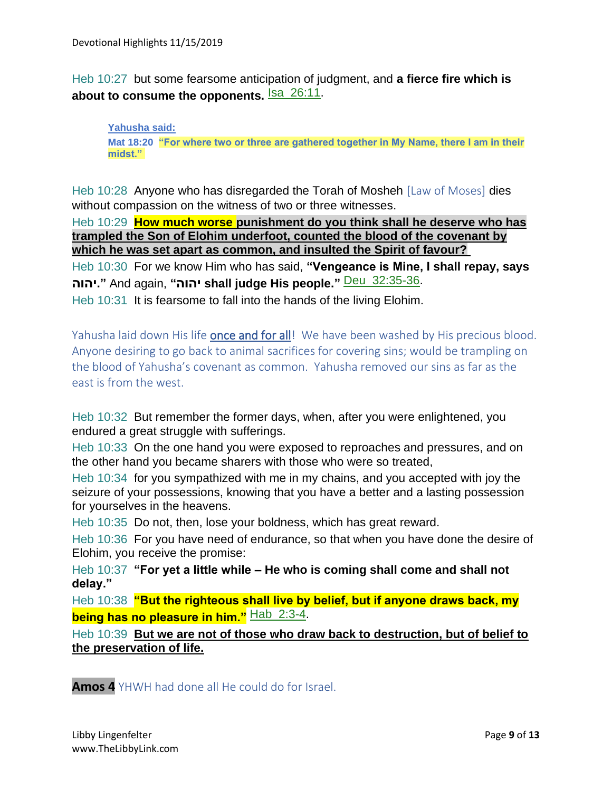Heb 10:27 but some fearsome anticipation of judgment, and **a fierce fire which is**  about to consume the opponents. **Isa\_26:11**.

**Yahusha said: Mat 18:20 "For where two or three are gathered together in My Name, there I am in their midst."**

Heb 10:28 Anyone who has disregarded the Torah of Mosheh [Law of Moses] dies without compassion on the witness of two or three witnesses.

Heb 10:29 **How much worse punishment do you think shall he deserve who has trampled the Son of Elohim underfoot, counted the blood of the covenant by which he was set apart as common, and insulted the Spirit of favour?**

Heb 10:30 For we know Him who has said, **"Vengeance is Mine, I shall repay, says יהוה. "**And again, **"יהוה shall judge His people."** Deu\_32:35-36.

Heb 10:31 It is fearsome to fall into the hands of the living Elohim.

Yahusha laid down His life **once and for all!** We have been washed by His precious blood. Anyone desiring to go back to animal sacrifices for covering sins; would be trampling on the blood of Yahusha's covenant as common. Yahusha removed our sins as far as the east is from the west.

Heb 10:32 But remember the former days, when, after you were enlightened, you endured a great struggle with sufferings.

Heb 10:33 On the one hand you were exposed to reproaches and pressures, and on the other hand you became sharers with those who were so treated,

Heb 10:34 for you sympathized with me in my chains, and you accepted with joy the seizure of your possessions, knowing that you have a better and a lasting possession for yourselves in the heavens.

Heb 10:35 Do not, then, lose your boldness, which has great reward.

Heb 10:36 For you have need of endurance, so that when you have done the desire of Elohim, you receive the promise:

Heb 10:37 **"For yet a little while – He who is coming shall come and shall not delay."**

Heb 10:38 **"But the righteous shall live by belief, but if anyone draws back, my being has no pleasure in him."** Hab\_2:3-4.

Heb 10:39 **But we are not of those who draw back to destruction, but of belief to the preservation of life.**

**Amos 4** YHWH had done all He could do for Israel.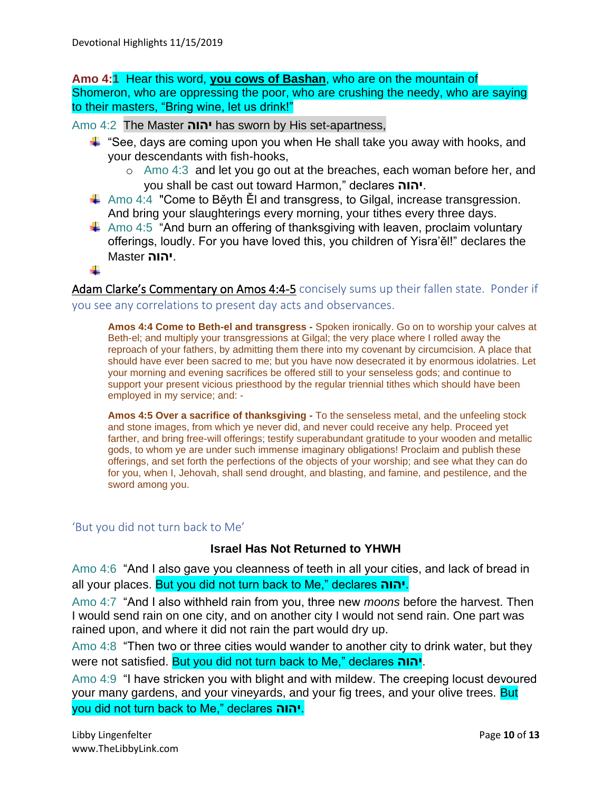**Amo 4:1** Hear this word, **you cows of Bashan**, who are on the mountain of Shomeron, who are oppressing the poor, who are crushing the needy, who are saying to their masters, "Bring wine, let us drink!"

Amo 4:2 The Master **יהוה** has sworn by His set-apartness,

- $\ddotplus$  "See, days are coming upon you when He shall take you away with hooks, and your descendants with fish-hooks,
	- o Amo 4:3 and let you go out at the breaches, each woman before her, and you shall be cast out toward Harmon," declares **יהוה**.
- $\ddot$  Amo 4:4 "Come to Běyth Ěl and transgress, to Gilgal, increase transgression. And bring your slaughterings every morning, your tithes every three days.
- $\downarrow$  Amo 4:5 "And burn an offering of thanksgiving with leaven, proclaim voluntary offerings, loudly. For you have loved this, you children of Yisra'ěl!" declares the .**יהוה** Master

÷

Adam Clarke's Commentary on Amos 4:4-5 concisely sums up their fallen state. Ponder if you see any correlations to present day acts and observances.

**Amos 4:4 Come to Beth-el and transgress -** Spoken ironically. Go on to worship your calves at Beth-el; and multiply your transgressions at Gilgal; the very place where I rolled away the reproach of your fathers, by admitting them there into my covenant by circumcision. A place that should have ever been sacred to me; but you have now desecrated it by enormous idolatries. Let your morning and evening sacrifices be offered still to your senseless gods; and continue to support your present vicious priesthood by the regular triennial tithes which should have been employed in my service; and: -

**Amos 4:5 Over a sacrifice of thanksgiving -** To the senseless metal, and the unfeeling stock and stone images, from which ye never did, and never could receive any help. Proceed yet farther, and bring free-will offerings; testify superabundant gratitude to your wooden and metallic gods, to whom ye are under such immense imaginary obligations! Proclaim and publish these offerings, and set forth the perfections of the objects of your worship; and see what they can do for you, when I, Jehovah, shall send drought, and blasting, and famine, and pestilence, and the sword among you.

#### 'But you did not turn back to Me'

#### **Israel Has Not Returned to YHWH**

Amo 4:6 "And I also gave you cleanness of teeth in all your cities, and lack of bread in all your places. But you did not turn back to Me," declares **יהוה**.

Amo 4:7 "And I also withheld rain from you, three new *moons* before the harvest. Then I would send rain on one city, and on another city I would not send rain. One part was rained upon, and where it did not rain the part would dry up.

Amo 4:8 "Then two or three cities would wander to another city to drink water, but they were not satisfied. But you did not turn back to Me," declares **יהוה**.

Amo 4:9 "I have stricken you with blight and with mildew. The creeping locust devoured your many gardens, and your vineyards, and your fig trees, and your olive trees. But you did not turn back to Me," declares **יהוה**.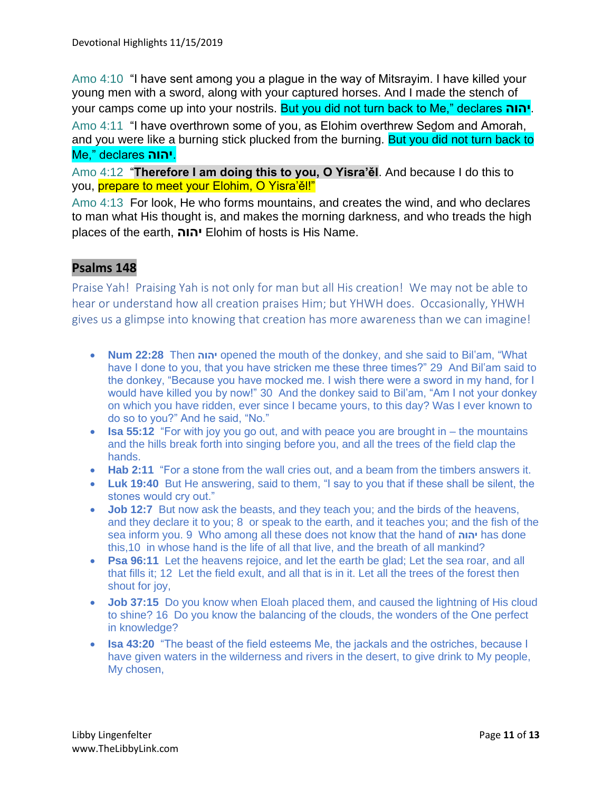Amo 4:10 "I have sent among you a plague in the way of Mitsrayim. I have killed your young men with a sword, along with your captured horses. And I made the stench of your camps come up into your nostrils. But you did not turn back to Me," declares **יהוה**.

Amo 4:11 "I have overthrown some of you, as Elohim overthrew Sedom and Amorah, and you were like a burning stick plucked from the burning. But you did not turn back to Me," declares **יהוה**.

Amo 4:12 "**Therefore I am doing this to you, O Yisra'ěl**. And because I do this to you, prepare to meet your Elohim, O Yisra'ěl!"

Amo 4:13 For look, He who forms mountains, and creates the wind, and who declares to man what His thought is, and makes the morning darkness, and who treads the high places of the earth, **יהוה** Elohim of hosts is His Name.

# **Psalms 148**

Praise Yah! Praising Yah is not only for man but all His creation! We may not be able to hear or understand how all creation praises Him; but YHWH does. Occasionally, YHWH gives us a glimpse into knowing that creation has more awareness than we can imagine!

- **Num 22:28** Then **יהוה** opened the mouth of the donkey, and she said to Bil'am, "What have I done to you, that you have stricken me these three times?" 29 And Bil'am said to the donkey, "Because you have mocked me. I wish there were a sword in my hand, for I would have killed you by now!" 30 And the donkey said to Bil'am, "Am I not your donkey on which you have ridden, ever since I became yours, to this day? Was I ever known to do so to you?" And he said, "No."
- **Isa 55:12** "For with joy you go out, and with peace you are brought in the mountains and the hills break forth into singing before you, and all the trees of the field clap the hands.
- **Hab 2:11** "For a stone from the wall cries out, and a beam from the timbers answers it.
- **Luk 19:40** But He answering, said to them, "I say to you that if these shall be silent, the stones would cry out."
- **Job 12:7** But now ask the beasts, and they teach you; and the birds of the heavens, and they declare it to you; 8 or speak to the earth, and it teaches you; and the fish of the sea inform you. 9 Who among all these does not know that the hand of **יהוה** has done this,10 in whose hand is the life of all that live, and the breath of all mankind?
- **Psa 96:11** Let the heavens rejoice, and let the earth be glad; Let the sea roar, and all that fills it; 12 Let the field exult, and all that is in it. Let all the trees of the forest then shout for joy,
- **Job 37:15** Do you know when Eloah placed them, and caused the lightning of His cloud to shine? 16 Do you know the balancing of the clouds, the wonders of the One perfect in knowledge?
- **Isa 43:20** "The beast of the field esteems Me, the jackals and the ostriches, because I have given waters in the wilderness and rivers in the desert, to give drink to My people, My chosen,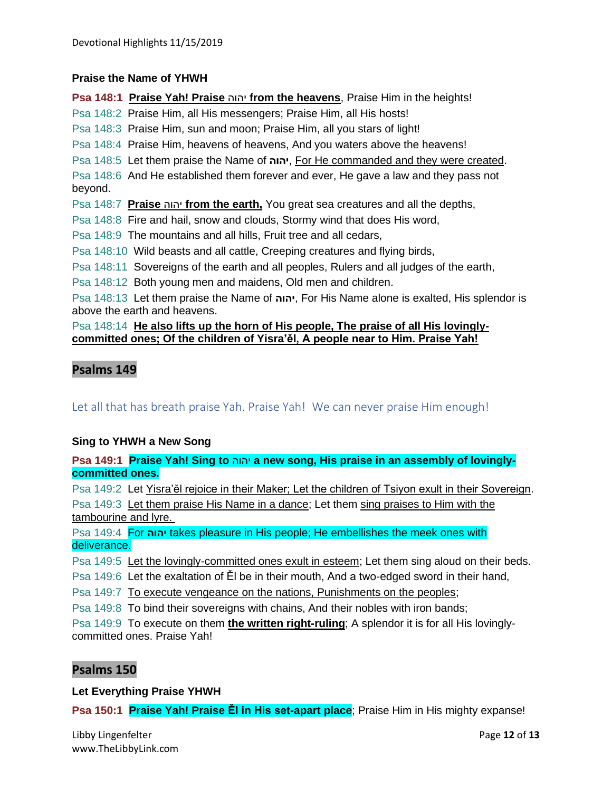#### **Praise the Name of YHWH**

**Psa 148:1 Praise Yah! Praise** יהוה **from the heavens**, Praise Him in the heights!

Psa 148:2 Praise Him, all His messengers; Praise Him, all His hosts!

Psa 148:3 Praise Him, sun and moon; Praise Him, all you stars of light!

Psa 148:4 Praise Him, heavens of heavens, And you waters above the heavens!

Psa 148:5 Let them praise the Name of **יהוה**, For He commanded and they were created.

Psa 148:6 And He established them forever and ever, He gave a law and they pass not beyond.

Psa 148:7 **Praise** יהוה **from the earth,** You great sea creatures and all the depths,

Psa 148:8 Fire and hail, snow and clouds, Stormy wind that does His word,

- Psa 148:9 The mountains and all hills, Fruit tree and all cedars,
- Psa 148:10 Wild beasts and all cattle, Creeping creatures and flying birds,
- Psa 148:11 Sovereigns of the earth and all peoples, Rulers and all judges of the earth,

Psa 148:12 Both young men and maidens, Old men and children.

Psa 148:13 Let them praise the Name of **יהוה**, For His Name alone is exalted, His splendor is above the earth and heavens.

#### Psa 148:14 **He also lifts up the horn of His people, The praise of all His lovinglycommitted ones; Of the children of Yisra'ěl, A people near to Him. Praise Yah!**

# **Psalms 149**

Let all that has breath praise Yah. Praise Yah! We can never praise Him enough!

#### **Sing to YHWH a New Song**

**Psa 149:1 Praise Yah! Sing to** יהוה **a new song, His praise in an assembly of lovinglycommitted ones.**

Psa 149:2 Let Yisra'ěl rejoice in their Maker; Let the children of Tsiyon exult in their Sovereign.

Psa 149:3 Let them praise His Name in a dance; Let them sing praises to Him with the tambourine and lyre.

Psa 149:4 For **יהוה** takes pleasure in His people; He embellishes the meek ones with deliverance.

Psa 149:5 Let the lovingly-committed ones exult in esteem; Let them sing aloud on their beds.

Psa 149:6 Let the exaltation of Ěl be in their mouth, And a two-edged sword in their hand,

Psa 149:7 To execute vengeance on the nations, Punishments on the peoples;

Psa 149:8 To bind their sovereigns with chains, And their nobles with iron bands;

Psa 149:9 To execute on them **the written right-ruling**; A splendor it is for all His lovinglycommitted ones. Praise Yah!

#### **Psalms 150**

**Let Everything Praise YHWH**

**Psa 150:1 Praise Yah! Praise Ěl in His set-apart place**; Praise Him in His mighty expanse!